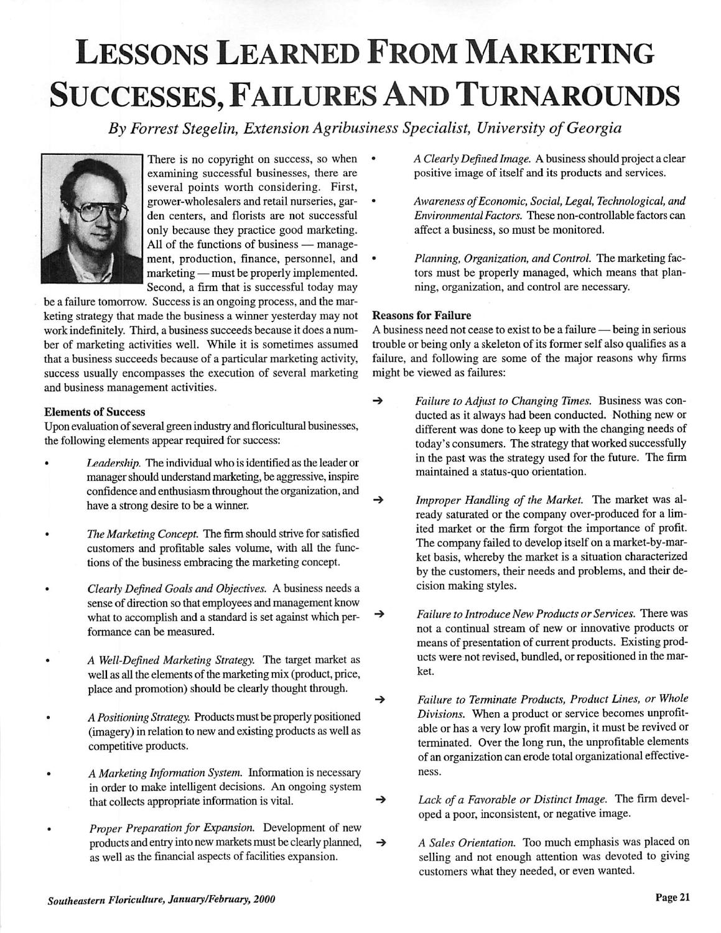## Lessons Learned From Marketing SUCCESSES, FAILURES AND TURNAROUNDS

**By Forrest Stegelin, Extension Agribusiness Specialist, University ofGeorgia**



There is no copyright on success, so when examining successful businesses, there are several points worth considering. First, grower-wholesalers and retail nurseries, gar den centers, and florists are not successful only because they practice good marketing. All of the functions of business — manage ment, production, finance, personnel, and marketing — must be properly implemented. Second, a firm that is successful today may

be a failure tomorrow. Success is an ongoing process, and the mar keting strategy that made the business a winner yesterday may not work indefinitely. Third, a business succeeds because it does a num ber of marketing activities well. While it is sometimes assumed that a business succeeds because of a particular marketing activity, success usually encompasses the execution of several marketing and business management activities.

## *Elements of Success*

Upon evaluation of several green industry and floricultural businesses, the following elements appear required for success:

- **Leadership.** The individual who is identified as the leader or manager should understand marketing, be aggressive, inspire confidence and enthusiasm throughout the organization, and have a strong desire to be a winner.
- The Marketing Concept. The firm should strive for satisfied customers and profitable sales volume, with all the func tions of the business embracing the marketing concept.
- **ClearlyDefined Goals and Objectives.** A business needs a sense of direction so that employees and management know what to accomplish and a standard is set against which performance can be measured.
- **A Well-Defined Marketing Strategy.** The target market as well as all the elements of the marketing mix (product, price, place and promotion) should be clearly thought through.
- **APositioning Strategy.** Products must be properly positioned (imagery) in relation to new and existing products as well as competitive products.
- **A Marketing Information System.** Information is necessary in order to make intelligent decisions. An ongoing system that collects appropriate information is vital.
- **Proper Preparation for Expansion.** Development of new products andentry intonew markets must beclearly planned, as well as the financial aspects of facilities expansion.
- **A Clearly DefinedImage.** A business should project a clear positive image of itself and its products and services.
- **Awareness ofEconomic, Social, Legal, Technological, and Environmental Factors.** These non-controllable factors can affect a business, so must be monitored.
- **Planning, Organization, and Control.** The marketing fac tors must be properly managed, which means that plan ning, organization, and control are necessary.

## *Reasons for Failure*

A business need not cease to exist to be a failure — being in serious trouble or being only a skeleton of its former self also qualifies as a failure, and following are some of the major reasons why firms might be viewed as failures:

- -» **Failure to Adjust to Changing Times.** Business was con ducted as it always had been conducted. Nothing new or different was done to keep up with the changing needs of today's consumers. The strategy that worked successfully in the past was the strategy used for the future. The firm maintained a status-quo orientation.
- -» **Improper Handling of the Market.** The market was al ready saturated or the company over-produced for a lim ited market or the firm forgot the importance of profit. The company failed to develop itself on a market-by-mar ket basis, whereby the market is a situation characterized by the customers, their needs and problems, and their de cision making styles.
- -» **Failure to Introduce New Products or Services.** There was not a continual stream of new or innovative products or means of presentation of current products. Existing prod ucts were not revised, bundled, or repositioned in the mar ket.
- -» **Failure to Terminate Products, Product Lines, or Whole** Divisions. When a product or service becomes unprofitable or has a very low profit margin, it must be revived or terminated. Over the long run, the unprofitable elements of an organization can erode total organizational effectiveness.
- -» **Lack of a Favorable or Distinct Image.** The firm devel oped a poor, inconsistent, or negative image.
- → **A Sales Orientation.** Too much emphasis was placed on selling and not enough attention was devoted to giving customers what they needed, or even wanted.